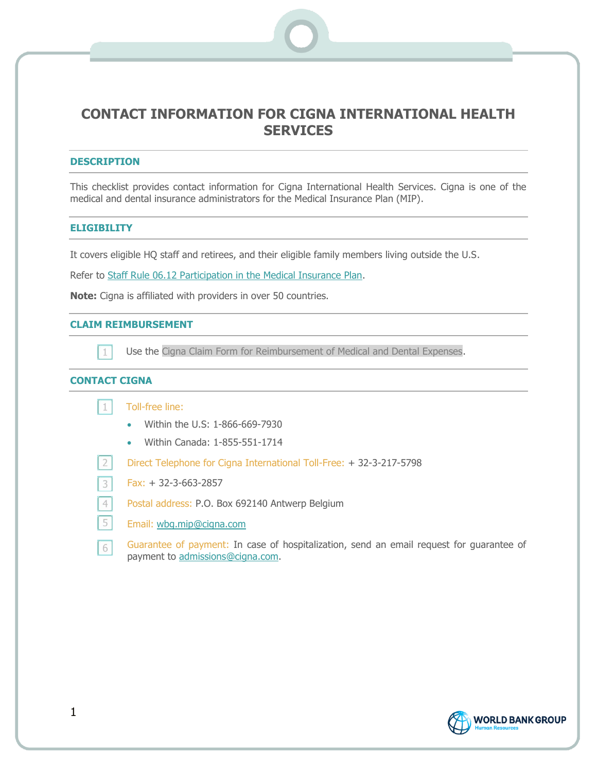# **CONTACT INFORMATION FOR CIGNA INTERNATIONAL HEALTH SERVICES**

## **DESCRIPTION**

This checklist provides contact information for Cigna International Health Services. Cigna is one of the medical and dental insurance administrators for the Medical Insurance Plan (MIP).

## **ELIGIBILITY**

It covers eligible HQ staff and retirees, and their eligible family members living outside the U.S.

Refer to [Staff Rule 06.12 Participation in the Medical Insurance Plan.](https://policies.worldbank.org/sites/ppf3/PPFDocuments/Forms/DispPage.aspx?docid=2650&ver=current)

**Note:** Cigna is affiliated with providers in over 50 countries.

### **CLAIM REIMBURSEMENT**

 $\lfloor 1 \rfloor$ 

Use the Cigna Claim Form for Reimbursement of Medical and Dental Expenses.

# **CONTACT CIGNA**

 $2<sup>1</sup>$ 

|  | Toll-free line: |  |
|--|-----------------|--|
|  |                 |  |
|  |                 |  |

- Within the U.S: 1-866-669-7930
- Within Canada: 1-855-551-1714

Direct Telephone for Cigna International Toll-Free: + 32-3-217-5798

- $\overline{\mathbf{3}}$ Fax: + 32-3-663-2857
- $\overline{4}$ Postal address: P.O. Box 692140 Antwerp Belgium
- 5 Email: [wbg.mip@cigna.com](mailto:wbg.mip@cigna.com)
- Guarantee of payment: In case of hospitalization, send an email request for guarantee of  $6|$ payment to [admissions@cigna.com.](mailto:admissions@cigna.com)